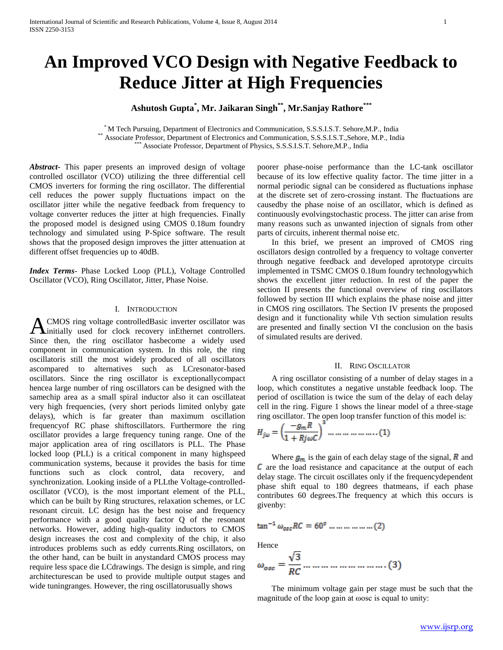# **An Improved VCO Design with Negative Feedback to Reduce Jitter at High Frequencies**

## **Ashutosh Gupta\* , Mr. Jaikaran Singh\*\* , Mr.Sanjay Rathore\*\*\***

\* M Tech Pursuing, Department of Electronics and Communication, S.S.S.I.S.T. Sehore,M.P., India \*\* Associate Professor, Department of Electronics and Communication, S.S.S.I.S.T.,Sehore, M.P., India Associate Professor, Department of Physics, S.S.S.I.S.T. Sehore,M.P., India

*Abstract***-** This paper presents an improved design of voltage controlled oscillator (VCO) utilizing the three differential cell CMOS inverters for forming the ring oscillator. The differential cell reduces the power supply fluctuations impact on the oscillator jitter while the negative feedback from frequency to voltage converter reduces the jitter at high frequencies. Finally the proposed model is designed using CMOS 0.18um foundry technology and simulated using P-Spice software. The result shows that the proposed design improves the jitter attenuation at different offset frequencies up to 40dB.

*Index Terms*- Phase Locked Loop (PLL), Voltage Controlled Oscillator (VCO), Ring Oscillator, Jitter, Phase Noise.

## I. INTRODUCTION

CMOS ring voltage controlledBasic inverter oscillator was A CMOS ring voltage controlled Basic inverter oscillator was<br>
anticially used for clock recovery inEthernet controllers. Since then, the ring oscillator hasbecome a widely used component in communication system. In this role, the ring oscillatoris still the most widely produced of all oscillators ascompared to alternatives such as LCresonator-based oscillators. Since the ring oscillator is exceptionallycompact hencea large number of ring oscillators can be designed with the samechip area as a small spiral inductor also it can oscillateat very high frequencies, (very short periods limited onlyby gate delays), which is far greater than maximum oscillation frequencyof RC phase shiftoscillators. Furthermore the ring oscillator provides a large frequency tuning range. One of the major application area of ring oscillators is PLL. The Phase locked loop (PLL) is a critical component in many highspeed communication systems, because it provides the basis for time functions such as clock control, data recovery, and synchronization. Looking inside of a PLLthe Voltage-controlledoscillator (VCO), is the most important element of the PLL, which can be built by Ring structures, relaxation schemes, or LC resonant circuit. LC design has the best noise and frequency performance with a good quality factor Q of the resonant networks. However, adding high-quality inductors to CMOS design increases the cost and complexity of the chip, it also introduces problems such as eddy currents.Ring oscillators, on the other hand, can be built in anystandard CMOS process may require less space die LCdrawings. The design is simple, and ring architecturescan be used to provide multiple output stages and wide tuningranges. However, the ring oscillatorusually shows

poorer phase-noise performance than the LC-tank oscillator because of its low effective quality factor. The time jitter in a normal periodic signal can be considered as fluctuations inphase at the discrete set of zero-crossing instant. The fluctuations are causedby the phase noise of an oscillator, which is defined as continuously evolvingstochastic process. The jitter can arise from many reasons such as unwanted injection of signals from other parts of circuits, inherent thermal noise etc.

 In this brief, we present an improved of CMOS ring oscillators design controlled by a frequency to voltage converter through negative feedback and developed aprototype circuits implemented in TSMC CMOS 0.18um foundry technologywhich shows the excellent jitter reduction. In rest of the paper the section II presents the functional overview of ring oscillators followed by section III which explains the phase noise and jitter in CMOS ring oscillators. The Section IV presents the proposed design and it functionality while Vth section simulation results are presented and finally section VI the conclusion on the basis of simulated results are derived.

## II. RING OSCILLATOR

 A ring oscillator consisting of a number of delay stages in a loop, which constitutes a negative unstable feedback loop. The period of oscillation is twice the sum of the delay of each delay cell in the ring. Figure 1 shows the linear model of a three-stage ring oscillator. The open loop transfer function of this model is:

$$
H_{j\omega} = \left(\frac{-g_m R}{1 + Rj\omega C}\right)^{3} \dots \dots \dots \dots \dots \dots (1)
$$

Where  $g_m$  is the gain of each delay stage of the signal,  $\vec{R}$  and  $\epsilon$  are the load resistance and capacitance at the output of each delay stage. The circuit oscillates only if the frequencydependent phase shift equal to 180 degrees thatmeans, if each phase contributes 60 degrees.The frequency at which this occurs is givenby:

$$
\tan^{-1} \omega_{osc} RC = 60^{\circ} \dots \dots \dots \dots \dots (2)
$$

Hence

$$
\omega_{osc} = \frac{\sqrt{3}}{RC} \dots \dots \dots \dots \dots \dots \dots \dots \dots \dots \tag{3}
$$

 The minimum voltage gain per stage must be such that the magnitude of the loop gain at ωosc is equal to unity: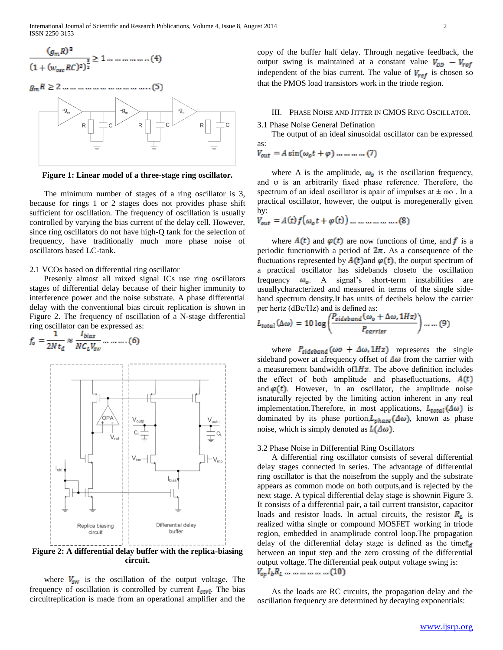International Journal of Scientific and Research Publications, Volume 4, Issue 8, August 2014 2 ISSN 2250-3153

$$
\frac{(g_m R)^3}{(1 + (w_{\text{one}} RG)^2)^{\frac{3}{2}}} \ge 1 \dots \dots \dots \dots \dots \dots (4)
$$



**Figure 1: Linear model of a three-stage ring oscillator.**

 The minimum number of stages of a ring oscillator is 3, because for rings 1 or 2 stages does not provides phase shift sufficient for oscillation. The frequency of oscillation is usually controlled by varying the bias current of the delay cell. However, since ring oscillators do not have high-Q tank for the selection of frequency, have traditionally much more phase noise of oscillators based LC-tank.

## 2.1 VCOs based on differential ring oscillator

 Presenly almost all mixed signal ICs use ring oscillators stages of differential delay because of their higher immunity to interference power and the noise substrate. A phase differential delay with the conventional bias circuit replication is shown in Figure 2. The frequency of oscillation of a N-stage differential ring oscillator can be expressed as:

$$
f_o = \frac{1}{2N t_d} \approx \frac{I_{bias}}{NC_L V_{sw}} \dots \dots \dots (6)
$$



**Figure 2: A differential delay buffer with the replica-biasing circuit.**

where  $V_{sw}$  is the oscillation of the output voltage. The frequency of oscillation is controlled by current  $I_{\text{ctrl}}$ . The bias circuitreplication is made from an operational amplifier and the

copy of the buffer half delay. Through negative feedback, the output swing is maintained at a constant value  $V_{DD} - V_{ref}$ independent of the bias current. The value of  $V_{ref}$  is chosen so that the PMOS load transistors work in the triode region.

## III. PHASE NOISE AND JITTER IN CMOS RING OSCILLATOR.

3.1 Phase Noise General Defination

 The output of an ideal sinusoidal oscillator can be expressed as:

 $V_{out} = A \sin(\omega_0 t + \varphi) \dots \dots \dots \dots (7)$ 

where A is the amplitude,  $\omega_{\mathfrak{o}}$  is the oscillation frequency, and φ is an arbitrarily fixed phase reference. Therefore, the spectrum of an ideal oscillator is apair of impulses at  $\pm \omega$ . In a practical oscillator, however, the output is moregenerally given by:

$$
V_{out} = A(t)f(\omega_0 t + \varphi(t)) \dots \dots \dots \dots \dots \dots (8)
$$

where  $A(t)$  and  $\varphi(t)$  are now functions of time, and f is a periodic functionwith a period of  $2\pi$ . As a consequence of the fluctuations represented by  $A(t)$  and  $\varphi(t)$ , the output spectrum of a practical oscillator has sidebands closeto the oscillation frequency  $\omega_0$ . A signal's short-term instabilities are usuallycharacterized and measured in terms of the single sideband spectrum density.It has units of decibels below the carrier per hertz (dBc/Hz) and is defined as:

$$
L_{total}(\Delta \omega) = 10 \log \left( \frac{P_{sideband}(\omega_o + \Delta \omega, 1 Hz)}{P_{carrier}} \right) \dots \dots (9)
$$

where  $P_{sideband}(\omega o + \Delta\omega, 1Hz)$  represents the single sideband power at afrequency offset of  $\Delta\omega$  from the carrier with a measurement bandwidth of  $1Hz$ . The above definition includes the effect of both amplitude and phasefluctuations,  $A(t)$ and  $\varphi(t)$ . However, in an oscillator, the amplitude noise isnaturally rejected by the limiting action inherent in any real implementation. Therefore, in most applications,  $L_{total}(\Delta \omega)$  is dominated by its phase portion,  $L_{phase}(\Delta \omega)$ , known as phase noise, which is simply denoted as  $L(\Delta \omega)$ .

#### 3.2 Phase Noise in Differential Ring Oscillators

 A differential ring oscillator consists of several differential delay stages connected in series. The advantage of differential ring oscillator is that the noisefrom the supply and the substrate appears as common mode on both outputs,and is rejected by the next stage. A typical differential delay stage is shownin Figure 3. It consists of a differential pair, a tail current transistor, capacitor loads and resistor loads. In actual circuits, the resistor  $R_L$  is realized witha single or compound MOSFET working in triode region, embedded in anamplitude control loop.The propagation delay of the differential delay stage is defined as the time  $t_d$ between an input step and the zero crossing of the differential output voltage. The differential peak output voltage swing is:  $V_{op}I_{b}R_{L}$  ... ... ... ... ... (10)

 As the loads are RC circuits, the propagation delay and the oscillation frequency are determined by decaying exponentials: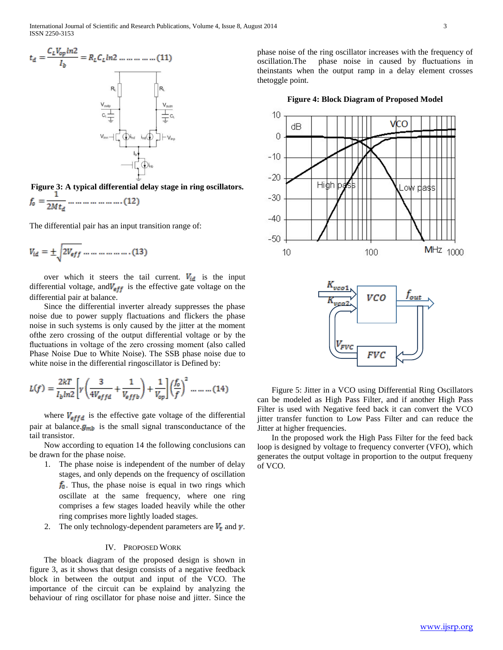

**Figure 3: A typical differential delay stage in ring oscillators.**

The differential pair has an input transition range of:

$$
V_{id} = \pm \sqrt{2V_{eff}} \dots \dots \dots \dots \dots \dots (13)
$$

over which it steers the tail current.  $V_{id}$  is the input differential voltage, and  $V_{eff}$  is the effective gate voltage on the differential pair at balance.

 Since the differential inverter already suppresses the phase noise due to power supply flactuations and flickers the phase noise in such systems is only caused by the jitter at the moment ofthe zero crossing of the output differential voltage or by the fluctuations in voltage of the zero crossing moment (also called Phase Noise Due to White Noise). The SSB phase noise due to white noise in the differential ringoscillator is Defined by:

$$
L(f) = \frac{2kT}{I_b \ln 2} \left[ \gamma \left( \frac{3}{4V_{\text{eff}}d} + \frac{1}{V_{\text{eff}}b} \right) + \frac{1}{V_{\text{op}}} \right] \left( \frac{f_0}{f} \right)^2 \dots \dots \dots (14)
$$

where  $V_{\text{eff}d}$  is the effective gate voltage of the differential pair at balance. $g_{mb}$  is the small signal transconductance of the tail transistor.

 Now according to equation 14 the following conclusions can be drawn for the phase noise.

- 1. The phase noise is independent of the number of delay stages, and only depends on the frequency of oscillation  $f_0$ . Thus, the phase noise is equal in two rings which oscillate at the same frequency, where one ring comprises a few stages loaded heavily while the other ring comprises more lightly loaded stages.
- 2. The only technology-dependent parameters are  $V_t$  and  $\gamma$ .

## IV. PROPOSED WORK

 The bloack diagram of the proposed design is shown in figure 3, as it shows that design consists of a negative feedback block in between the output and input of the VCO. The importance of the circuit can be explaind by analyzing the behaviour of ring oscillator for phase noise and jitter. Since the phase noise of the ring oscillator increases with the frequency of oscillation.The phase noise in caused by fluctuations in theinstants when the output ramp in a delay element crosses thetoggle point.

**Figure 4: Block Diagram of Proposed Model**



 Figure 5: Jitter in a VCO using Differential Ring Oscillators can be modeled as High Pass Filter, and if another High Pass Filter is used with Negative feed back it can convert the VCO jitter transfer function to Low Pass Filter and can reduce the Jitter at higher frequencies.

 In the proposed work the High Pass Filter for the feed back loop is designed by voltage to frequency converter (VFO), which generates the output voltage in proportion to the output frequeny of VCO.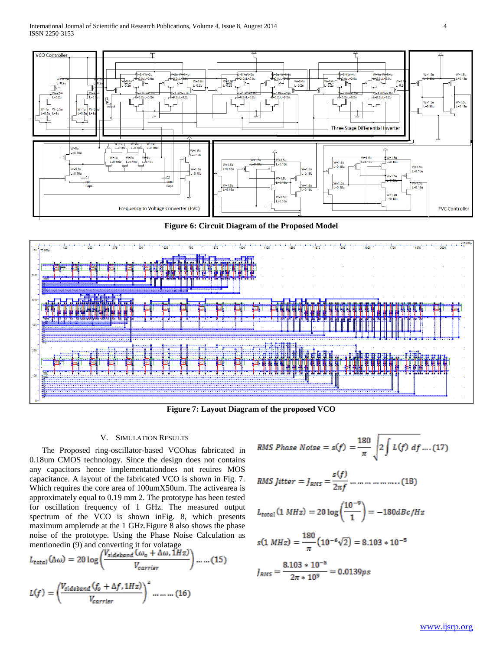

**Figure 6: Circuit Diagram of the Proposed Model**



**Figure 7: Layout Diagram of the proposed VCO**

## V. SIMULATION RESULTS

 The Proposed ring-oscillator-based VCOhas fabricated in 0.18um CMOS technology. Since the design does not contains any capacitors hence implementationdoes not reuires MOS capacitance. A layout of the fabricated VCO is shown in Fig. 7. Which requires the core area of 100umX50um. The activearea is approximately equal to 0.19 mm 2. The prototype has been tested for oscillation frequency of 1 GHz. The measured output spectrum of the VCO is shown inFig. 8, which presents maximum ampletude at the 1 GHz.Figure 8 also shows the phase noise of the prototype. Using the Phase Noise Calculation as mentionedin (9) and converting it for volatage

$$
L_{total}(\Delta\omega) = 20 \log \left( \frac{V_{sideband}(\omega_o + \Delta\omega, \hat{1}Hz)}{V_{carrier}} \right) \dots \dots (15)
$$

$$
L(f) = \left( \frac{V_{sideband}(f_o + \Delta f, 1Hz)}{V_{carrier}} \right)^2 \dots \dots (16)
$$

RMS Phase Noise = 
$$
s(f) = \frac{180}{\pi} \sqrt{2 \int L(f) \, df} \dots (17)
$$

RMS Jitter = 
$$
J_{RMS} = \frac{s(f)}{2\pi f}
$$
 .... ... .... .... (18)

$$
L_{total}(1\ MHz) = 20 \log \left(\frac{10^{-9}}{1}\right) = -180 dBc/Hz
$$

$$
s(1 MHz) = \frac{180}{\pi} (10^{-6}\sqrt{2}) = 8.103 \times 10^{-5}
$$

$$
J_{RMS} = \frac{8.103 \times 10^{-5}}{2\pi \times 10^{9}} = 0.0139 \text{ps}
$$

$$
\boldsymbol{4}
$$